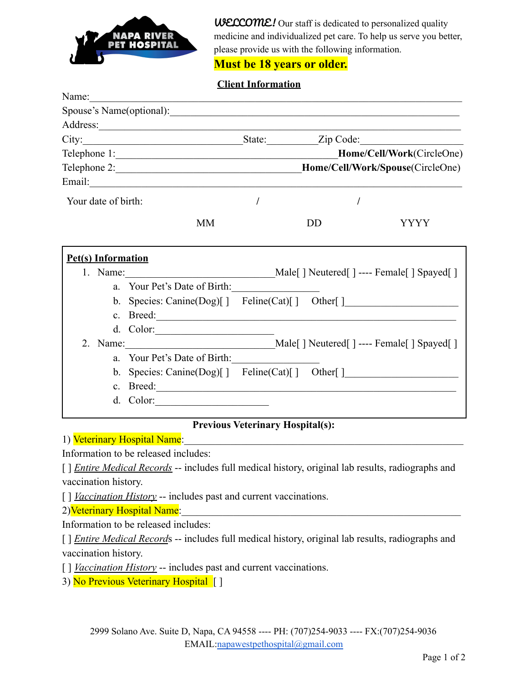

**WELCOME!** Our staff is dedicated to personalized quality medicine and individualized pet care. To help us serve you better, please provide us with the following information.

## **Must be 18 years or older.**

## **Client Information**

| Name:                     |                                                   |           |                                              |
|---------------------------|---------------------------------------------------|-----------|----------------------------------------------|
|                           | Spouse's Name(optional):                          |           |                                              |
|                           |                                                   |           |                                              |
|                           |                                                   |           |                                              |
|                           | Telephone 1:                                      |           | Home/Cell/Work(CircleOne)                    |
|                           |                                                   |           |                                              |
|                           |                                                   |           |                                              |
| Your date of birth:       |                                                   |           |                                              |
|                           | <b>MM</b>                                         | <b>DD</b> | YYYY                                         |
| <b>Pet(s)</b> Information |                                                   |           |                                              |
|                           | 1. Name:                                          |           | Male[ ] Neutered[ ] ---- Female[ ] Spayed[ ] |
|                           | a. Your Pet's Date of Birth:                      |           |                                              |
|                           | b. Species: Canine(Dog)[] Feline(Cat)[] Other[]   |           |                                              |
|                           |                                                   |           |                                              |
|                           | d. Color: $\qquad \qquad$                         |           |                                              |
|                           | 2. Name: Male[] Neutered[] ---- Female[] Spayed[] |           |                                              |
| a                         | Your Pet's Date of Birth:                         |           |                                              |
|                           | b. Species: Canine(Dog)[] Feline(Cat)[] Other[]   |           |                                              |
|                           |                                                   |           |                                              |
|                           | d. Color:                                         |           |                                              |

## **Previous Veterinary Hospital(s):**

1) Veterinary Hospital Name:

Information to be released includes:

[ ] *Entire Medical Records* -- includes full medical history, original lab results, radiographs and vaccination history.

[ ] *Vaccination History* -- includes past and current vaccinations.

2)Veterinary Hospital Name:

Information to be released includes:

[ ] *Entire Medical Records* -- includes full medical history, original lab results, radiographs and vaccination history.

[ ] *Vaccination History* -- includes past and current vaccinations.

3) No Previous Veterinary Hospital [ ]